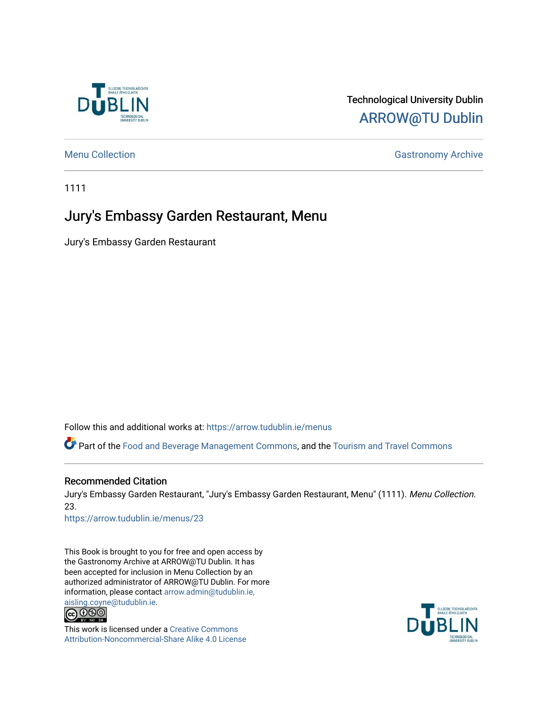

# Technological University Dublin [ARROW@TU Dublin](https://arrow.tudublin.ie/)

#### [Menu Collection](https://arrow.tudublin.ie/menus) **Gastronomy Archive** Gastronomy Archive

1111

# Jury's Embassy Garden Restaurant, Menu

Jury's Embassy Garden Restaurant

Follow this and additional works at: [https://arrow.tudublin.ie/menus](https://arrow.tudublin.ie/menus?utm_source=arrow.tudublin.ie%2Fmenus%2F23&utm_medium=PDF&utm_campaign=PDFCoverPages)

Part of the [Food and Beverage Management Commons](http://network.bepress.com/hgg/discipline/1089?utm_source=arrow.tudublin.ie%2Fmenus%2F23&utm_medium=PDF&utm_campaign=PDFCoverPages), and the [Tourism and Travel Commons](http://network.bepress.com/hgg/discipline/1082?utm_source=arrow.tudublin.ie%2Fmenus%2F23&utm_medium=PDF&utm_campaign=PDFCoverPages) 

#### Recommended Citation

Jury's Embassy Garden Restaurant, "Jury's Embassy Garden Restaurant, Menu" (1111). Menu Collection. 23.

[https://arrow.tudublin.ie/menus/23](https://arrow.tudublin.ie/menus/23?utm_source=arrow.tudublin.ie%2Fmenus%2F23&utm_medium=PDF&utm_campaign=PDFCoverPages) 

This Book is brought to you for free and open access by the Gastronomy Archive at ARROW@TU Dublin. It has been accepted for inclusion in Menu Collection by an authorized administrator of ARROW@TU Dublin. For more information, please contact [arrow.admin@tudublin.ie,](mailto:arrow.admin@tudublin.ie,%20aisling.coyne@tudublin.ie) 



This work is licensed under a [Creative Commons](http://creativecommons.org/licenses/by-nc-sa/4.0/) [Attribution-Noncommercial-Share Alike 4.0 License](http://creativecommons.org/licenses/by-nc-sa/4.0/)